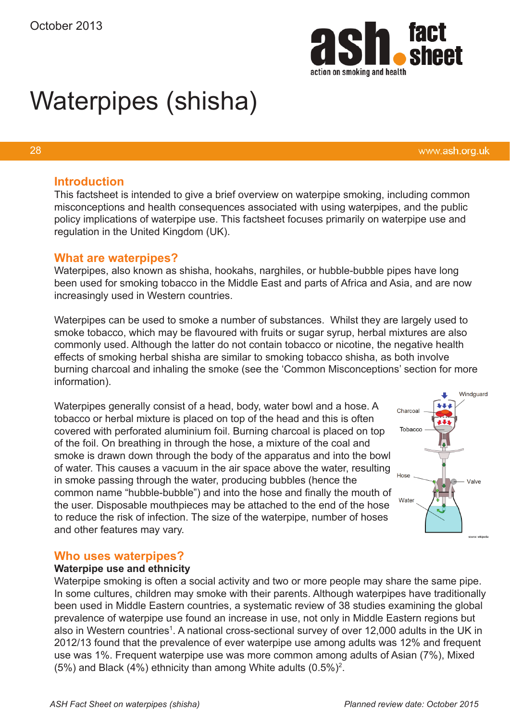

# Waterpipes (shisha)

#### 28

#### **Introduction**

This factsheet is intended to give a brief overview on waterpipe smoking, including common misconceptions and health consequences associated with using waterpipes, and the public policy implications of waterpipe use. This factsheet focuses primarily on waterpipe use and regulation in the United Kingdom (UK).

#### **What are waterpipes?**

Waterpipes, also known as shisha, hookahs, narghiles, or hubble-bubble pipes have long been used for smoking tobacco in the Middle East and parts of Africa and Asia, and are now increasingly used in Western countries.

Waterpipes can be used to smoke a number of substances. Whilst they are largely used to smoke tobacco, which may be flavoured with fruits or sugar syrup, herbal mixtures are also commonly used. Although the latter do not contain tobacco or nicotine, the negative health effects of smoking herbal shisha are similar to smoking tobacco shisha, as both involve burning charcoal and inhaling the smoke (see the 'Common Misconceptions' section for more information).

Waterpipes generally consist of a head, body, water bowl and a hose. A tobacco or herbal mixture is placed on top of the head and this is often covered with perforated aluminium foil. Burning charcoal is placed on top of the foil. On breathing in through the hose, a mixture of the coal and smoke is drawn down through the body of the apparatus and into the bowl of water. This causes a vacuum in the air space above the water, resulting in smoke passing through the water, producing bubbles (hence the common name "hubble-bubble") and into the hose and finally the mouth of the user. Disposable mouthpieces may be attached to the end of the hose to reduce the risk of infection. The size of the waterpipe, number of hoses and other features may vary.



www.ash.org.uk

# **Who uses waterpipes?**

#### **Waterpipe use and ethnicity**

Waterpipe smoking is often a social activity and two or more people may share the same pipe. In some cultures, children may smoke with their parents. Although waterpipes have traditionally been used in Middle Eastern countries, a systematic review of 38 studies examining the global prevalence of waterpipe use found an increase in use, not only in Middle Eastern regions but also in Western countries<sup>1</sup>. A national cross-sectional survey of over 12,000 adults in the UK in 2012/13 found that the prevalence of ever waterpipe use among adults was 12% and frequent use was 1%. Frequent waterpipe use was more common among adults of Asian (7%), Mixed (5%) and Black (4%) ethnicity than among White adults (0.5%)2 .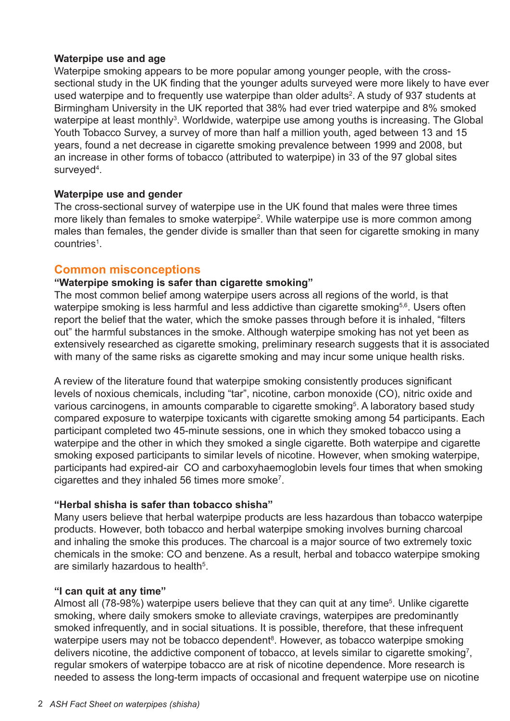#### **Waterpipe use and age**

Waterpipe smoking appears to be more popular among younger people, with the crosssectional study in the UK finding that the younger adults surveyed were more likely to have ever used waterpipe and to frequently use waterpipe than older adults<sup>2</sup>. A study of 937 students at Birmingham University in the UK reported that 38% had ever tried waterpipe and 8% smoked waterpipe at least monthly<sup>3</sup>. Worldwide, waterpipe use among youths is increasing. The Global Youth Tobacco Survey, a survey of more than half a million youth, aged between 13 and 15 years, found a net decrease in cigarette smoking prevalence between 1999 and 2008, but an increase in other forms of tobacco (attributed to waterpipe) in 33 of the 97 global sites surveyed<sup>4</sup>.

#### **Waterpipe use and gender**

The cross-sectional survey of waterpipe use in the UK found that males were three times more likely than females to smoke waterpipe<sup>2</sup>. While waterpipe use is more common among males than females, the gender divide is smaller than that seen for cigarette smoking in many countries<sup>1</sup>.

# **Common misconceptions**

#### **"Waterpipe smoking is safer than cigarette smoking"**

The most common belief among waterpipe users across all regions of the world, is that waterpipe smoking is less harmful and less addictive than cigarette smoking<sup>5,6</sup>. Users often report the belief that the water, which the smoke passes through before it is inhaled, "filters out" the harmful substances in the smoke. Although waterpipe smoking has not yet been as extensively researched as cigarette smoking, preliminary research suggests that it is associated with many of the same risks as cigarette smoking and may incur some unique health risks.

A review of the literature found that waterpipe smoking consistently produces significant levels of noxious chemicals, including "tar", nicotine, carbon monoxide (CO), nitric oxide and various carcinogens, in amounts comparable to cigarette smoking<sup>5</sup>. A laboratory based study compared exposure to waterpipe toxicants with cigarette smoking among 54 participants. Each participant completed two 45-minute sessions, one in which they smoked tobacco using a waterpipe and the other in which they smoked a single cigarette. Both waterpipe and cigarette smoking exposed participants to similar levels of nicotine. However, when smoking waterpipe, participants had expired-air CO and carboxyhaemoglobin levels four times that when smoking cigarettes and they inhaled 56 times more smoke7 .

#### **"Herbal shisha is safer than tobacco shisha"**

Many users believe that herbal waterpipe products are less hazardous than tobacco waterpipe products. However, both tobacco and herbal waterpipe smoking involves burning charcoal and inhaling the smoke this produces. The charcoal is a major source of two extremely toxic chemicals in the smoke: CO and benzene. As a result, herbal and tobacco waterpipe smoking are similarly hazardous to health<sup>5</sup>.

#### **"I can quit at any time"**

Almost all (78-98%) waterpipe users believe that they can quit at any time<sup>5</sup>. Unlike cigarette smock and the control manners smoke to alleviate cravings, waterpipes are predominantly smoked infrequently, and in social situations. It is possible, therefore, that these infrequent waterpipe users may not be tobacco dependent<sup>8</sup>. However, as tobacco waterpipe smoking delivers nicotine, the addictive component of tobacco, at levels similar to cigarette smoking<sup>7</sup>, regular smokers of waterpipe tobacco are at risk of nicotine dependence. More research is needed to assess the long-term impacts of occasional and frequent waterpipe use on nicotine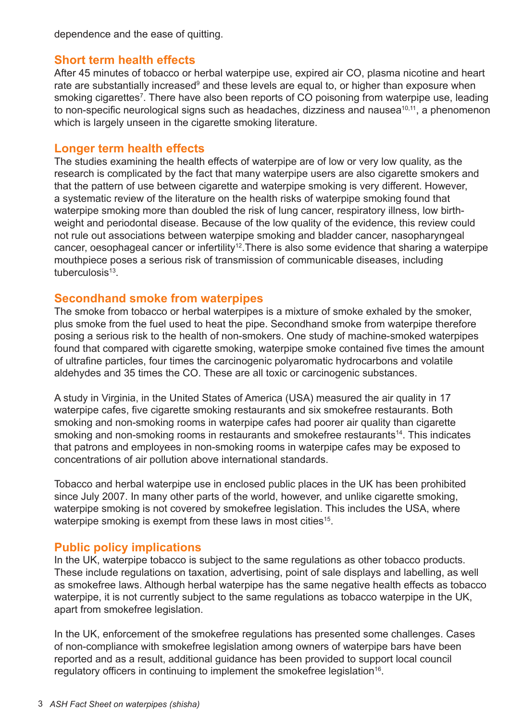dependence and the ease of quitting.

# **Short term health effects**

After 45 minutes of tobacco or herbal waterpipe use, expired air CO, plasma nicotine and heart rate are substantially increased<sup>9</sup> and these levels are equal to, or higher than exposure when smoking cigarettes<sup>7</sup>. There have also been reports of CO poisoning from waterpipe use, leading to non-specific neurological signs such as headaches, dizziness and nausea<sup>10,11</sup>, a phenomenon which is largely unseen in the cigarette smoking literature.

### **Longer term health effects**

The studies examining the health effects of waterpipe are of low or very low quality, as the research is complicated by the fact that many waterpipe users are also cigarette smokers and that the pattern of use between cigarette and waterpipe smoking is very different. However, a systematic review of the literature on the health risks of waterpipe smoking found that waterpipe smoking more than doubled the risk of lung cancer, respiratory illness, low birthweight and periodontal disease. Because of the low quality of the evidence, this review could not rule out associations between waterpipe smoking and bladder cancer, nasopharyngeal cancer, oesophageal cancer or infertility<sup>12</sup>. There is also some evidence that sharing a waterpipe mouthpiece poses a serious risk of transmission of communicable diseases, including tuberculosis $13$ .

# **Secondhand smoke from waterpipes**

The smoke from tobacco or herbal waterpipes is a mixture of smoke exhaled by the smoker, plus smoke from the fuel used to heat the pipe. Secondhand smoke from waterpipe therefore posing a serious risk to the health of non-smokers. One study of machine-smoked waterpipes found that compared with cigarette smoking, waterpipe smoke contained five times the amount of ultrafine particles, four times the carcinogenic polyaromatic hydrocarbons and volatile aldehydes and 35 times the CO. These are all toxic or carcinogenic substances.

A study in Virginia, in the United States of America (USA) measured the air quality in 17 waterpipe cafes, five cigarette smoking restaurants and six smokefree restaurants. Both smoking and non-smoking rooms in waterpipe cafes had poorer air quality than cigarette smoking and non-smoking rooms in restaurants and smokefree restaurants<sup>14</sup>. This indicates that patrons and employees in non-smoking rooms in waterpipe cafes may be exposed to concentrations of air pollution above international standards.

Tobacco and herbal waterpipe use in enclosed public places in the UK has been prohibited since July 2007. In many other parts of the world, however, and unlike cigarette smoking, waterpipe smoking is not covered by smokefree legislation. This includes the USA, where waterpipe smoking is exempt from these laws in most cities<sup>15</sup>.

# **Public policy implications**

In the UK, waterpipe tobacco is subject to the same regulations as other tobacco products. These include regulations on taxation, advertising, point of sale displays and labelling, as well as smokefree laws. Although herbal waterpipe has the same negative health effects as tobacco waterpipe, it is not currently subject to the same regulations as tobacco waterpipe in the UK, apart from smokefree legislation.

In the UK, enforcement of the smokefree regulations has presented some challenges. Cases of non-compliance with smokefree legislation among owners of waterpipe bars have been reported and as a result, additional guidance has been provided to support local council regulatory officers in continuing to implement the smokefree legislation<sup>16</sup>.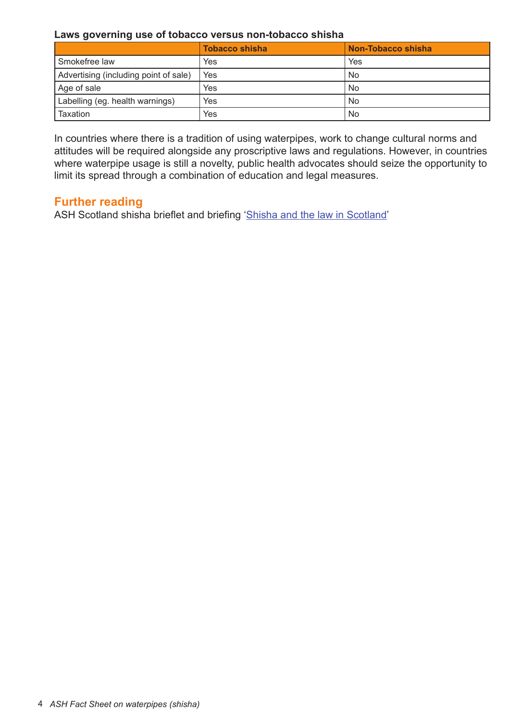#### **Laws governing use of tobacco versus non-tobacco shisha**

|                                       | <b>Tobacco shisha</b> | Non-Tobacco shisha |
|---------------------------------------|-----------------------|--------------------|
| Smokefree law                         | Yes                   | Yes                |
| Advertising (including point of sale) | Yes                   | <b>No</b>          |
| Age of sale                           | Yes                   | <b>No</b>          |
| Labelling (eg. health warnings)       | Yes                   | <b>No</b>          |
| Taxation                              | Yes                   | No                 |

In countries where there is a tradition of using waterpipes, work to change cultural norms and attitudes will be required alongside any proscriptive laws and regulations. However, in countries where waterpipe usage is still a novelty, public health advocates should seize the opportunity to limit its spread through a combination of education and legal measures.

# **Further reading**

ASH Scotland shisha brieflet and briefing ['Shisha and the law in Scotland'](http://www.ashscotland.org.uk/shisha)